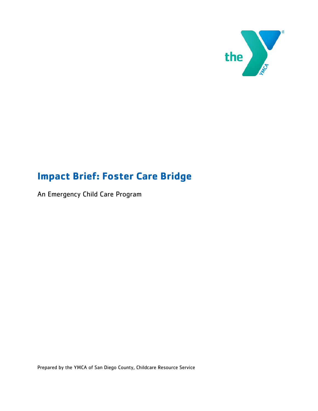

# **Impact Brief: Foster Care Bridge**

An Emergency Child Care Program

Prepared by the YMCA of San Diego County, Childcare Resource Service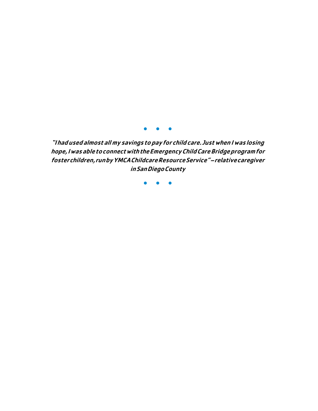● ● ●

"Ihadused almost allmy savings topay for childcare.Justwhen Iwas losing hope,IwasabletoconnectwiththeEmergencyChildCareBridgeprogramfor fosterchildren,runbyYMCAChildcareResourceService"–relativecaregiver inSanDiegoCounty

● ● ●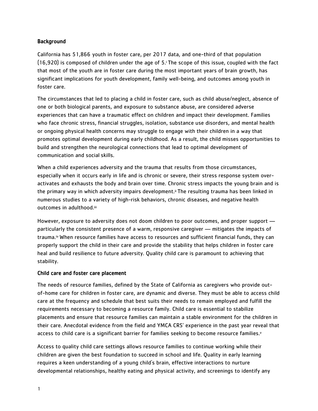### **Background**

California has 51,866 youth in foster care, per 2017 data, and one-third of that population (16,920) is composed of children under the age of [5.i](#page-8-0) The scope of this issue, coupled with the fact that most of the youth are in foster care during the most important years of brain growth, has significant implications for youth development, family well-being, and outcomes among youth in foster care.

The circumstances that led to placing a child in foster care, such as child abuse/neglect, absence of one or both biological parents, and exposure to substance abuse, are considered adverse experiences that can have a traumatic effect on children and impact their development. Families who face chronic stress, financial struggles, isolation, substance use disorders, and mental health or ongoing physical health concerns may struggle to engage with their children in a way that promotes optimal development during early childhood. As a result, the child misses opportunities to build and strengthen the neurological connections that lead to optimal development of communication and social skills.

When a child experiences adversity and the trauma that results from those circumstances, especially when it occurs early in life and is chronic or severe, their stress response system overactivates and exhausts the body and brain over time. Chronic stress impacts the young brain and is the primary way in which adversity impairs development.<sup>ii</sup> The resulting trauma has been linked in numerous studies to a variety of high-risk behaviors, chronic diseases, and negative health outcomes in adulthood[.iii](#page-8-2)

However, exposure to adversity does not doom children to poor outcomes, and proper support particularly the consistent presence of a warm, [responsive caregiver](https://childtrends.us16.list-manage.com/track/click?u=2dcd6a778a067d2b0f01fd186&id=853795d2c3&e=302cffc52d) — mitigates the impacts of traum[a.iv](#page-8-3) When resource families have access to resources and sufficient financial funds, they can properly support the child in their care and provide the stability that helps children in foster care heal and build resilience to future adversity. Quality child care is paramount to achieving that stability.

#### Child care and foster care placement

The needs of resource families, defined by the State of California as caregivers who provide outof-home care for children in foster care, are dynamic and diverse. They must be able to access child care at the frequency and schedule that best suits their needs to remain employed and fulfill the requirements necessary to becoming a resource family. Child care is essential to stabilize placements and ensure that resource families can maintain a stable environment for the children in their care. Anecdotal evidence from the field and YMCA CRS' experience in the past year reveal that access to child care is a significant barrier for families seeking to become resource families.<sup>v</sup>

Access to quality child care settings allows resource families to continue working while their children are given the best foundation to succeed in school and life. Quality in early learning requires a keen understanding of a young child's brain, effective interactions to nurture developmental relationships, healthy eating and physical activity, and screenings to identify any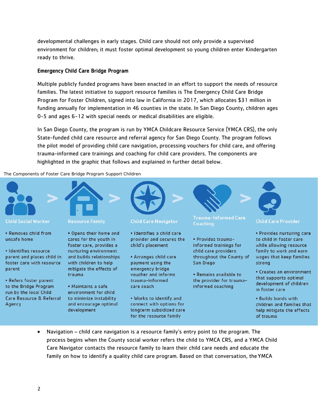developmental challenges in early stages. Child care should not only provide a supervised environment for children; it must foster optimal development so young children enter Kindergarten ready to thrive.

#### Emergency Child Care Bridge Program

Multiple publicly funded programs have been enacted in an effort to support the needs of resource families. The latest initiative to support resource families is The Emergency Child Care Bridge Program for Foster Children, signed into law in California in 2017, which allocates \$31 million in funding annually for implementation in 46 counties in the state. In San Diego County, children ages 0-5 and ages 6-12 with special needs or medical disabilities are eligible.

In San Diego County, the program is run by YMCA Childcare Resource Service (YMCA CRS), the only State-funded child care resource and referral agency for San Diego County. The program follows the pilot model of providing child care navigation, processing vouchers for child care, and offering trauma-informed care trainings and coaching for child care providers. The components are highlighted in the graphic that follows and explained in further detail below.

*The Components of Foster Care Bridge Program Support Children*



• Navigation – child care navigation is a resource family's entry point to the program. The process begins when the County social worker refers the child to YMCA CRS, and a YMCA Child Care Navigator contacts the resource family to learn their child care needs and educate the family on how to identify a quality child care program. Based on that conversation, theYMCA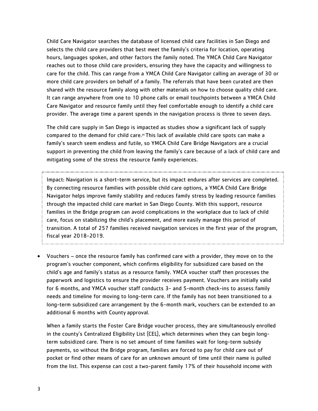Child Care Navigator searches the database of licensed child care facilities in San Diego and selects the child care providers that best meet the family's criteria for location, operating hours, languages spoken, and other factors the family noted. The YMCA Child Care Navigator reaches out to those child care providers, ensuring they have the capacity and willingness to care for the child. This can range from a YMCA Child Care Navigator calling an average of 30 or more child care providers on behalf of a family. The referrals that have been curated are then shared with the resource family along with other materials on how to choose quality child care. It can range anywhere from one to 10 phone calls or email touchpoints between a YMCA Child Care Navigator and resource family until they feel comfortable enough to identify a child care provider. The average time a parent spends in the navigation process is three to seven days.

The child care supply in San Diego is impacted as studies show a significant lack of supply compared to the demand for child care[.vi](#page-8-5) This lack of available child care spots can make a family's search seem endless and futile, so YMCA Child Care Bridge Navigators are a crucial support in preventing the child from leaving the family's care because of a lack of child care and mitigating some of the stress the resource family experiences.

Impact: Navigation is a short-term service, but its impact endures after services are completed. By connecting resource families with possible child care options, a YMCA Child Care Bridge Navigator helps improve family stability and reduces family stress by leading resource families through the impacted child care market in San Diego County. With this support, resource families in the Bridge program can avoid complications in the workplace due to lack of child care, focus on stabilizing the child's placement, and more easily manage this period of transition. A total of 257 families received navigation services in the first year of the program, fiscal year 2018-2019.

• Vouchers – once the resource family has confirmed care with a provider, they move on to the program's voucher component, which confirms eligibility for subsidized care based on the child's age and family's status as a resource family. YMCA voucher staff then processes the paperwork and logistics to ensure the provider receives payment. Vouchers are initially valid for 6 months, and YMCA voucher staff conducts 3- and 5-month check-ins to assess family needs and timeline for moving to long-term care. If the family has not been transitioned to a long-term subsidized care arrangement by the 6-month mark, vouchers can be extended to an additional 6 months with County approval.

When a family starts the Foster Care Bridge voucher process, they are simultaneously enrolled in the county's Centralized Eligibility List (CEL), which determines when they can begin longterm subsidized care. There is no set amount of time families wait for long-term subsidy payments, so without the Bridge program, families are forced to pay for child care out of pocket or find other means of care for an unknown amount of time until their name is pulled from the list. This expense can cost a two-parent family 17% of their household income with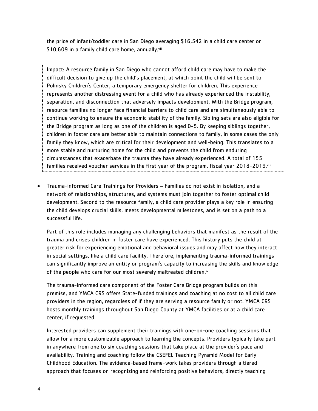the price of infant/toddler care in San Diego averaging \$16,542 in a child care center or \$10,609 in a family child care home, annually[.vii](#page-8-6)

Impact: A resource family in San Diego who cannot afford child care may have to make the difficult decision to give up the child's placement, at which point the child will be sent to Polinsky Children's Center, a temporary emergency shelter for children. This experience represents another distressing event for a child who has already experienced the instability, separation, and disconnection that adversely impacts development. With the Bridge program, resource families no longer face financial barriers to child care and are simultaneously able to continue working to ensure the economic stability of the family. Sibling sets are also eligible for the Bridge program as long as one of the children is aged 0-5. By keeping siblings together, children in foster care are better able to maintain connections to family, in some cases the only family they know, which are critical for their development and well-being. This translates to a more stable and nurturing home for the child and prevents the child from enduring circumstances that exacerbate the trauma they have already experienced. A total of 155 families received voucher services in the first year of the program, fiscal year 2018-2019.<sup>viii</sup>

• Trauma-informed Care Trainings for Providers – Families do not exist in isolation, and a network of relationships, structures, and systems must join together to foster optimal child development. Second to the resource family, a child care provider plays a key role in ensuring the child develops crucial skills, meets developmental milestones, and is set on a path to a successful life.

Part of this role includes managing any challenging behaviors that manifest as the result of the trauma and crises children in foster care have experienced. This history puts the child at greater risk for experiencing emotional and behavioral issues and may affect how they interact in social settings, like a child care facility. Therefore, implementing trauma-informed trainings can significantly improve an entity or program's capacity to increasing the skills and knowledge of the people who care for our most severely maltreated children.<sup>ix</sup>

The trauma-informed care component of the Foster Care Bridge program builds on this premise, and YMCA CRS offers State-funded trainings and coaching at no cost to all child care providers in the region, regardless of if they are serving a resource family or not. YMCA CRS hosts monthly trainings throughout San Diego County at YMCA facilities or at a child care center, if requested.

Interested providers can supplement their trainings with one-on-one coaching sessions that allow for a more customizable approach to learning the concepts. Providers typically take part in anywhere from one to six coaching sessions that take place at the provider's pace and availability. Training and coaching follow the CSEFEL Teaching Pyramid Model for Early Childhood Education. The evidence-based frame-work takes providers through a tiered approach that focuses on recognizing and reinforcing positive behaviors, directly teaching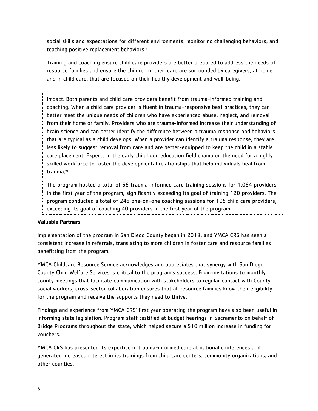social skills and expectations for different environments, monitoring challenging behaviors, and teaching positive replacement behaviors[.x](#page-8-9)

Training and coaching ensure child care providers are better prepared to address the needs of resource families and ensure the children in their care are surrounded by caregivers, at home and in child care, that are focused on their healthy development and well-being.

Impact: Both parents and child care providers benefit from trauma-informed training and coaching. When a child care provider is fluent in trauma-responsive best practices, they can better meet the unique needs of children who have experienced abuse, neglect, and removal from their home or family. Providers who are trauma-informed increase their understanding of brain science and can better identify the difference between a trauma response and behaviors that are typical as a child develops. When a provider can identify a trauma response, they are less likely to suggest removal from care and are better-equipped to keep the child in a stable care placement. Experts in the early childhood education field champion the need for a highly skilled workforce to foster the developmental relationships that help individuals heal from trauma.<sup>xi</sup>

The program hosted a total of 66 trauma-informed care training sessions for 1,064 providers in the first year of the program, significantly exceeding its goal of training 120 providers. The program conducted a total of 246 one-on-one coaching sessions for 195 child care providers, exceeding its goal of coaching 40 providers in the first year of the program.

## Valuable Partners

Implementation of the program in San Diego County began in 2018, and YMCA CRS has seen a consistent increase in referrals, translating to more children in foster care and resource families benefitting from the program.

YMCA Childcare Resource Service acknowledges and appreciates that synergy with San Diego County Child Welfare Services is critical to the program's success. From invitations to monthly county meetings that facilitate communication with stakeholders to regular contact with County social workers, cross-sector collaboration ensures that all resource families know their eligibility for the program and receive the supports they need to thrive.

Findings and experience from YMCA CRS' first year operating the program have also been useful in informing state legislation. Program staff testified at budget hearings in Sacramento on behalf of Bridge Programs throughout the state, which helped secure a \$10 million increase in funding for vouchers.

YMCA CRS has presented its expertise in trauma-informed care at national conferences and generated increased interest in its trainings from child care centers, community organizations, and other counties.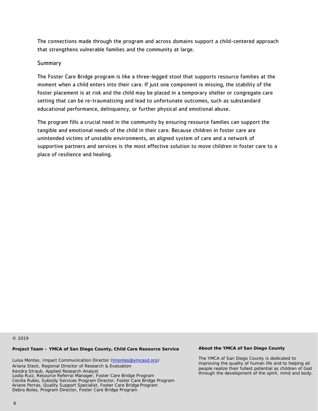The connections made through the program and across domains support a child-centered approach that strengthens vulnerable families and the community at large.

#### Summary

The Foster Care Bridge program is like a three-legged stool that supports resource families at the moment when a child enters into their care. If just one component is missing, the stability of the foster placement is at risk and the child may be placed in a temporary shelter or congregate care setting that can be re-traumatizing and lead to unfortunate outcomes, such as substandard educational performance, delinquency, or further physical and emotional abuse.

The program fills a crucial need in the community by ensuring resource families can support the tangible and emotional needs of the child in their care. Because children in foster care are unintended victims of unstable environments, an aligned system of care and a network of supportive partners and services is the most effective solution to move children in foster care to a place of resilience and healing.

© 2019

#### **Project Team – YMCA of San Diego County, Child Care Resource Service About the YMCA of San Diego County**

Luisa Montes, Impact Communication Director [\(lmontes@ymcasd.](mailto:lmontes@ymca.org)org) Ariana Steck, Regional Director of Research & Evaluation Kendra Straub, Applied Research Analyst Lodia Ruiz, Resource Referral Manager, Foster Care Bridge Program Cecilia Rubio, Subsidy Services Program Director, Foster Care Bridge Program Ariane Porras, Quality Support Specialist, Foster Care Bridge Program Debra Boles, Program Director, Foster Care Bridge Program

The YMCA of San Diego County is dedicated to improving the quality of human life and to helping all people realize their fullest potential as children of God through the development of the spirit, mind and body.